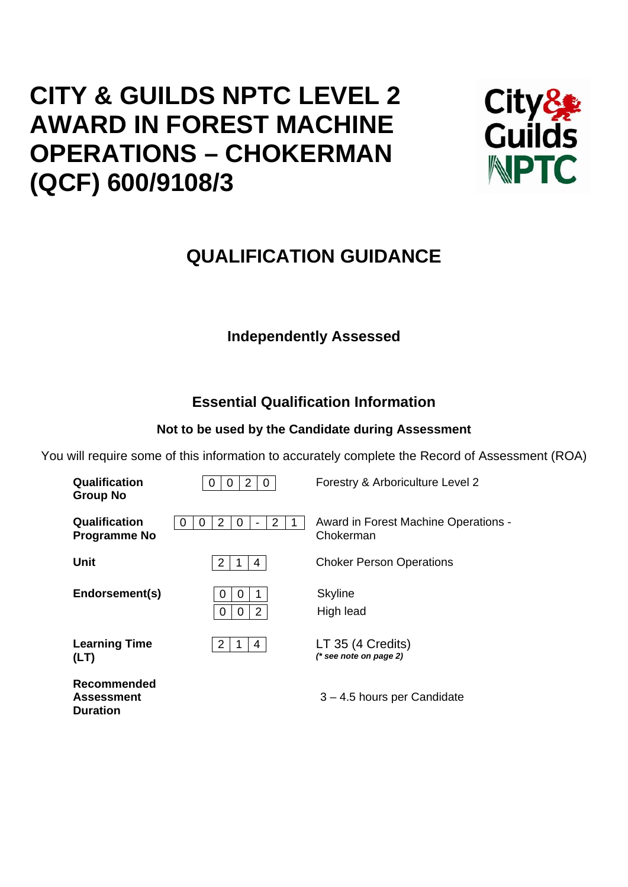# **CITY & GUILDS NPTC LEVEL 2 AWARD IN FOREST MACHINE OPERATIONS – CHOKERMAN (QCF) 600/9108/3**

**Duration** 



## **QUALIFICATION GUIDANCE**

## **Independently Assessed**

## **Essential Qualification Information**

## **Not to be used by the Candidate during Assessment**

You will require some of this information to accurately complete the Record of Assessment (ROA)

| Qualification<br><b>Group No</b>     | $\overline{2}$<br>0<br>Ő<br>O             | Forestry & Arboriculture Level 2                  |
|--------------------------------------|-------------------------------------------|---------------------------------------------------|
| Qualification<br><b>Programme No</b> | 2<br>2<br>$\Omega$<br>$\Omega$<br>$\cup$  | Award in Forest Machine Operations -<br>Chokerman |
| <b>Unit</b>                          | $\overline{2}$<br>4                       | <b>Choker Person Operations</b>                   |
| Endorsement(s)                       | 0<br>O<br>$\overline{2}$<br>$\Omega$<br>O | <b>Skyline</b><br>High lead                       |
| <b>Learning Time</b><br>(LT)         | 2<br>4                                    | LT 35 (4 Credits)<br>$(*$ see note on page 2)     |
| Recommended<br><b>Assessment</b>     |                                           | $3 - 4.5$ hours per Candidate                     |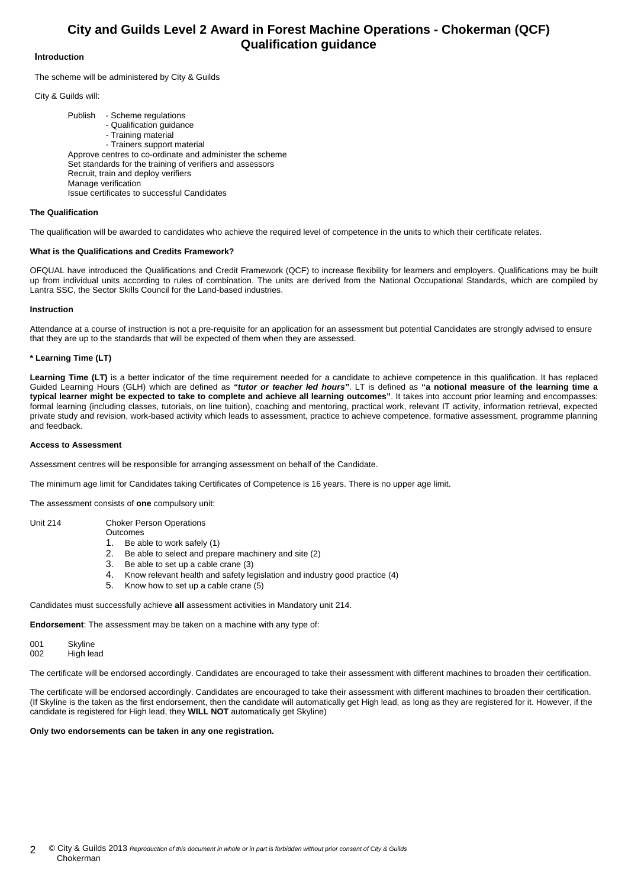### **City and Guilds Level 2 Award in Forest Machine Operations - Chokerman (QCF) Qualification guidance**

### **Introduction**

The scheme will be administered by City & Guilds

City & Guilds will:

 Publish - Scheme regulations - Qualification guidance - Training material - Trainers support material Approve centres to co-ordinate and administer the scheme Set standards for the training of verifiers and assessors Recruit, train and deploy verifiers Manage verification Issue certificates to successful Candidates

#### **The Qualification**

The qualification will be awarded to candidates who achieve the required level of competence in the units to which their certificate relates.

#### **What is the Qualifications and Credits Framework?**

OFQUAL have introduced the Qualifications and Credit Framework (QCF) to increase flexibility for learners and employers. Qualifications may be built up from individual units according to rules of combination. The units are derived from the National Occupational Standards, which are compiled by Lantra SSC, the Sector Skills Council for the Land-based industries.

#### **Instruction**

Attendance at a course of instruction is not a pre-requisite for an application for an assessment but potential Candidates are strongly advised to ensure that they are up to the standards that will be expected of them when they are assessed.

#### **\* Learning Time (LT)**

Learning Time (LT) is a better indicator of the time requirement needed for a candidate to achieve competence in this qualification. It has replaced Guided Learning Hours (GLH) which are defined as *"tutor or teacher led hours"*. LT is defined as **"a notional measure of the learning time a typical learner might be expected to take to complete and achieve all learning outcomes"**. It takes into account prior learning and encompasses: formal learning (including classes, tutorials, on line tuition), coaching and mentoring, practical work, relevant IT activity, information retrieval, expected private study and revision, work-based activity which leads to assessment, practice to achieve competence, formative assessment, programme planning and feedback.

#### **Access to Assessment**

Assessment centres will be responsible for arranging assessment on behalf of the Candidate.

The minimum age limit for Candidates taking Certificates of Competence is 16 years. There is no upper age limit.

The assessment consists of **one** compulsory unit:

Unit 214 Choker Person Operations

- **Outcomes** 1. Be able to work safely (1)
- 2. Be able to select and prepare machinery and site (2)
- 3. Be able to set up a cable crane (3)
- 4. Know relevant health and safety legislation and industry good practice (4)
- 5. Know how to set up a cable crane (5)

#### Candidates must successfully achieve **all** assessment activities in Mandatory unit 214.

**Endorsement**: The assessment may be taken on a machine with any type of:

| 001 | Skyline   |
|-----|-----------|
| 002 | High lead |

The certificate will be endorsed accordingly. Candidates are encouraged to take their assessment with different machines to broaden their certification.

The certificate will be endorsed accordingly. Candidates are encouraged to take their assessment with different machines to broaden their certification. (If Skyline is the taken as the first endorsement, then the candidate will automatically get High lead, as long as they are registered for it. However, if the candidate is registered for High lead, they **WILL NOT** automatically get Skyline)

#### **Only two endorsements can be taken in any one registration.**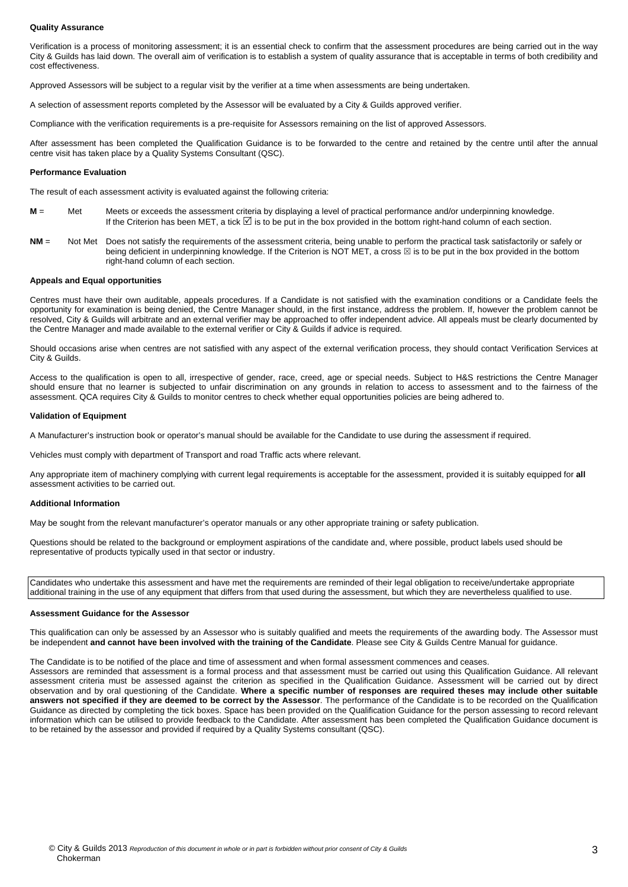#### **Quality Assurance**

Verification is a process of monitoring assessment; it is an essential check to confirm that the assessment procedures are being carried out in the way City & Guilds has laid down. The overall aim of verification is to establish a system of quality assurance that is acceptable in terms of both credibility and cost effectiveness.

Approved Assessors will be subject to a regular visit by the verifier at a time when assessments are being undertaken.

A selection of assessment reports completed by the Assessor will be evaluated by a City & Guilds approved verifier.

Compliance with the verification requirements is a pre-requisite for Assessors remaining on the list of approved Assessors.

After assessment has been completed the Qualification Guidance is to be forwarded to the centre and retained by the centre until after the annual centre visit has taken place by a Quality Systems Consultant (QSC).

#### **Performance Evaluation**

The result of each assessment activity is evaluated against the following criteria:

- **M** = Met Meets or exceeds the assessment criteria by displaying a level of practical performance and/or underpinning knowledge. If the Criterion has been MET, a tick  $\boxtimes$  is to be put in the box provided in the bottom right-hand column of each section.
- **NM** = Not Met Does not satisfy the requirements of the assessment criteria, being unable to perform the practical task satisfactorily or safely or being deficient in underpinning knowledge. If the Criterion is NOT MET, a cross  $\boxtimes$  is to be put in the box provided in the bottom right-hand column of each section.

#### **Appeals and Equal opportunities**

Centres must have their own auditable, appeals procedures. If a Candidate is not satisfied with the examination conditions or a Candidate feels the opportunity for examination is being denied, the Centre Manager should, in the first instance, address the problem. If, however the problem cannot be resolved, City & Guilds will arbitrate and an external verifier may be approached to offer independent advice. All appeals must be clearly documented by the Centre Manager and made available to the external verifier or City & Guilds if advice is required.

Should occasions arise when centres are not satisfied with any aspect of the external verification process, they should contact Verification Services at City & Guilds.

Access to the qualification is open to all, irrespective of gender, race, creed, age or special needs. Subject to H&S restrictions the Centre Manager should ensure that no learner is subjected to unfair discrimination on any grounds in relation to access to assessment and to the fairness of the assessment. QCA requires City & Guilds to monitor centres to check whether equal opportunities policies are being adhered to.

#### **Validation of Equipment**

A Manufacturer's instruction book or operator's manual should be available for the Candidate to use during the assessment if required.

Vehicles must comply with department of Transport and road Traffic acts where relevant.

Any appropriate item of machinery complying with current legal requirements is acceptable for the assessment, provided it is suitably equipped for **all** assessment activities to be carried out.

#### **Additional Information**

May be sought from the relevant manufacturer's operator manuals or any other appropriate training or safety publication.

Questions should be related to the background or employment aspirations of the candidate and, where possible, product labels used should be representative of products typically used in that sector or industry.

Candidates who undertake this assessment and have met the requirements are reminded of their legal obligation to receive/undertake appropriate additional training in the use of any equipment that differs from that used during the assessment, but which they are nevertheless qualified to use.

#### **Assessment Guidance for the Assessor**

This qualification can only be assessed by an Assessor who is suitably qualified and meets the requirements of the awarding body. The Assessor must be independent **and cannot have been involved with the training of the Candidate**. Please see City & Guilds Centre Manual for guidance.

The Candidate is to be notified of the place and time of assessment and when formal assessment commences and ceases.

Assessors are reminded that assessment is a formal process and that assessment must be carried out using this Qualification Guidance. All relevant assessment criteria must be assessed against the criterion as specified in the Qualification Guidance. Assessment will be carried out by direct observation and by oral questioning of the Candidate. **Where a specific number of responses are required theses may include other suitable answers not specified if they are deemed to be correct by the Assessor**. The performance of the Candidate is to be recorded on the Qualification Guidance as directed by completing the tick boxes. Space has been provided on the Qualification Guidance for the person assessing to record relevant information which can be utilised to provide feedback to the Candidate. After assessment has been completed the Qualification Guidance document is to be retained by the assessor and provided if required by a Quality Systems consultant (QSC).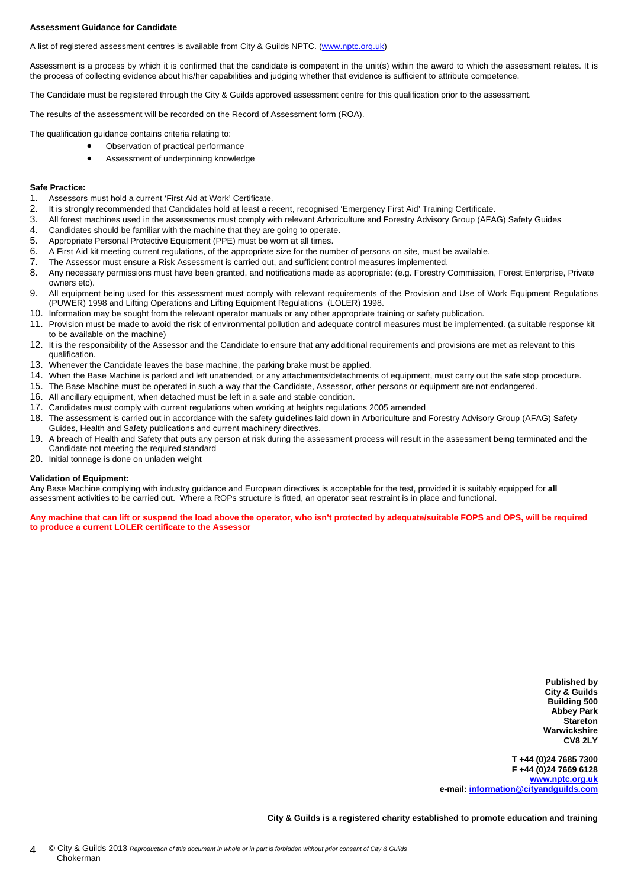#### **Assessment Guidance for Candidate**

A list of registered assessment centres is available from City & Guilds NPTC. (www.nptc.org.uk)

Assessment is a process by which it is confirmed that the candidate is competent in the unit(s) within the award to which the assessment relates. It is the process of collecting evidence about his/her capabilities and judging whether that evidence is sufficient to attribute competence.

The Candidate must be registered through the City & Guilds approved assessment centre for this qualification prior to the assessment.

The results of the assessment will be recorded on the Record of Assessment form (ROA).

The qualification guidance contains criteria relating to:

- Observation of practical performance
- Assessment of underpinning knowledge

#### **Safe Practice:**

- 1. Assessors must hold a current 'First Aid at Work' Certificate.
- 2. It is strongly recommended that Candidates hold at least a recent, recognised 'Emergency First Aid' Training Certificate.
- 3. All forest machines used in the assessments must comply with relevant Arboriculture and Forestry Advisory Group (AFAG) Safety Guides
- 4. Candidates should be familiar with the machine that they are going to operate.
- 5. Appropriate Personal Protective Equipment (PPE) must be worn at all times.
- 6. A First Aid kit meeting current regulations, of the appropriate size for the number of persons on site, must be available.
- 7. The Assessor must ensure a Risk Assessment is carried out, and sufficient control measures implemented.<br>8. Any necessary permissions must have been granted, and notifications made as appropriate: (e.g. Forestry)
- 8. Any necessary permissions must have been granted, and notifications made as appropriate: (e.g. Forestry Commission, Forest Enterprise, Private owners etc).
- 9. All equipment being used for this assessment must comply with relevant requirements of the Provision and Use of Work Equipment Regulations (PUWER) 1998 and Lifting Operations and Lifting Equipment Regulations (LOLER) 1998.
- 10. Information may be sought from the relevant operator manuals or any other appropriate training or safety publication.
- 11. Provision must be made to avoid the risk of environmental pollution and adequate control measures must be implemented. (a suitable response kit to be available on the machine)
- 12. It is the responsibility of the Assessor and the Candidate to ensure that any additional requirements and provisions are met as relevant to this qualification.
- 13. Whenever the Candidate leaves the base machine, the parking brake must be applied.
- 14. When the Base Machine is parked and left unattended, or any attachments/detachments of equipment, must carry out the safe stop procedure.
- 15. The Base Machine must be operated in such a way that the Candidate, Assessor, other persons or equipment are not endangered.
- 16. All ancillary equipment, when detached must be left in a safe and stable condition.
- 17. Candidates must comply with current regulations when working at heights regulations 2005 amended
- 18. The assessment is carried out in accordance with the safety guidelines laid down in Arboriculture and Forestry Advisory Group (AFAG) Safety Guides, Health and Safety publications and current machinery directives.
- 19. A breach of Health and Safety that puts any person at risk during the assessment process will result in the assessment being terminated and the Candidate not meeting the required standard
- 20. Initial tonnage is done on unladen weight

#### **Validation of Equipment:**

Any Base Machine complying with industry guidance and European directives is acceptable for the test, provided it is suitably equipped for **all** assessment activities to be carried out. Where a ROPs structure is fitted, an operator seat restraint is in place and functional.

**Any machine that can lift or suspend the load above the operator, who isn't protected by adequate/suitable FOPS and OPS, will be required to produce a current LOLER certificate to the Assessor** 

> **Published by City & Guilds Building 500 Abbey Park Stareton Warwickshire CV8 2LY**

**T +44 (0)24 7685 7300 F +44 (0)24 7669 6128 www.nptc.org.uk e-mail: information@cityandguilds.com**

**City & Guilds is a registered charity established to promote education and training**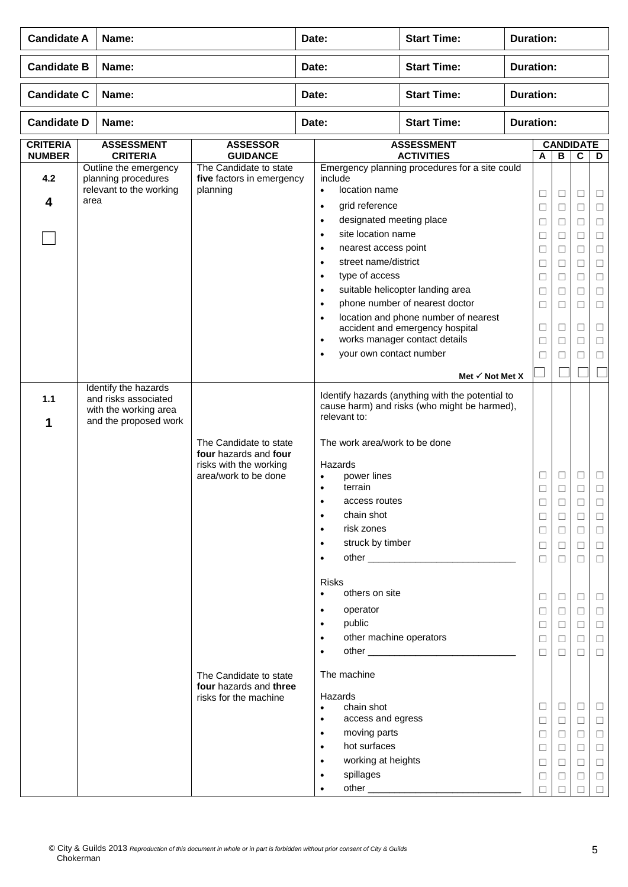| <b>Candidate A</b>               |      | Name:                                                                                          |                                                                                                   | Date:                                                                                                                                                                                                                                                                  | <b>Start Time:</b>                                                                                                                                                       | <b>Duration:</b>                      |                                                     |                                                                    |                                                               |                                                                    |  |
|----------------------------------|------|------------------------------------------------------------------------------------------------|---------------------------------------------------------------------------------------------------|------------------------------------------------------------------------------------------------------------------------------------------------------------------------------------------------------------------------------------------------------------------------|--------------------------------------------------------------------------------------------------------------------------------------------------------------------------|---------------------------------------|-----------------------------------------------------|--------------------------------------------------------------------|---------------------------------------------------------------|--------------------------------------------------------------------|--|
| <b>Candidate B</b>               |      | Name:                                                                                          |                                                                                                   | Date:                                                                                                                                                                                                                                                                  | <b>Start Time:</b>                                                                                                                                                       | <b>Duration:</b>                      |                                                     |                                                                    |                                                               |                                                                    |  |
| <b>Candidate C</b>               |      | Name:                                                                                          |                                                                                                   | Date:                                                                                                                                                                                                                                                                  | <b>Start Time:</b>                                                                                                                                                       |                                       | <b>Duration:</b>                                    |                                                                    |                                                               |                                                                    |  |
| <b>Candidate D</b>               |      | Name:                                                                                          |                                                                                                   | Date:                                                                                                                                                                                                                                                                  | <b>Start Time:</b>                                                                                                                                                       | <b>Duration:</b>                      |                                                     |                                                                    |                                                               |                                                                    |  |
| <b>CRITERIA</b><br><b>NUMBER</b> |      | <b>ASSESSMENT</b><br><b>CRITERIA</b>                                                           | <b>ASSESSOR</b><br><b>GUIDANCE</b>                                                                |                                                                                                                                                                                                                                                                        | <b>ASSESSMENT</b><br><b>ACTIVITIES</b>                                                                                                                                   | <b>CANDIDATE</b><br>$\, {\bf B}$<br>A |                                                     |                                                                    | $\mathbf C$                                                   | D                                                                  |  |
| 4.2<br>4                         | area | Outline the emergency<br>planning procedures<br>relevant to the working                        | The Candidate to state<br>five factors in emergency<br>planning                                   | include<br>location name<br>$\bullet$<br>grid reference<br>$\bullet$<br>designated meeting place<br>$\bullet$<br>site location name<br>$\bullet$<br>nearest access point<br>$\bullet$<br>street name/district<br>$\bullet$<br>type of access<br>$\bullet$<br>$\bullet$ | Emergency planning procedures for a site could<br>suitable helicopter landing area                                                                                       |                                       | $\Box$<br>□<br>Ш<br>□<br>□<br>Ш<br>□                | $\Box$<br>$\Box$<br>$\Box$<br>$\Box$<br>$\Box$<br>$\Box$<br>$\Box$ | □<br>□<br>$\Box$<br>□<br>$\Box$<br>□<br>$\Box$                | $\Box$<br>$\Box$<br>$\Box$<br>$\Box$<br>$\Box$<br>$\Box$<br>$\Box$ |  |
|                                  |      |                                                                                                |                                                                                                   | $\bullet$<br>$\bullet$<br>$\bullet$<br>your own contact number<br>$\bullet$                                                                                                                                                                                            | phone number of nearest doctor<br>location and phone number of nearest<br>accident and emergency hospital<br>works manager contact details<br>Met $\checkmark$ Not Met X |                                       | Ш<br>□<br>□<br>□<br>⊔                               | □<br>$\Box$<br>$\Box$<br>$\Box$<br>□                               | □<br>$\Box$<br>□<br>□<br>□                                    | $\Box$<br>$\Box$<br>$\Box$<br>$\Box$<br>$\Box$                     |  |
| 1.1<br>1                         |      | Identify the hazards<br>and risks associated<br>with the working area<br>and the proposed work | The Candidate to state<br>four hazards and four<br>risks with the working<br>area/work to be done | relevant to:<br>The work area/work to be done<br>Hazards<br>power lines<br>$\bullet$<br>terrain<br>$\bullet$<br>access routes<br>٠<br>chain shot<br>risk zones<br>$\bullet$<br>struck by timber<br>$\bullet$<br>$\bullet$                                              | Identify hazards (anything with the potential to<br>cause harm) and risks (who might be harmed),                                                                         |                                       | ⊔<br>$\Box$<br>⊔<br>$\Box$<br>$\Box$<br>□<br>$\Box$ | □<br>$\Box$<br>□<br>$\Box$<br>$\Box$<br>$\Box$<br>$\Box$           | Ш<br>□<br>$\Box$<br>$\Box$<br>$\Box$<br>$\Box$                | □<br>□<br>⊔<br>$\Box$<br>$\Box$<br>$\Box$<br>$\Box$                |  |
|                                  |      |                                                                                                | The Candidate to state                                                                            | <b>Risks</b><br>others on site<br>$\bullet$<br>operator<br>$\bullet$<br>public<br>$\bullet$<br>other machine operators<br>$\bullet$<br>$\bullet$<br>The machine                                                                                                        |                                                                                                                                                                          |                                       | □<br>⊔<br>$\Box$<br>П<br>$\Box$                     | $\Box$<br>$\Box$<br>$\Box$<br>$\Box$<br>$\Box$                     | $\Box$<br>$\Box$<br>$\Box$<br>□<br>$\Box$                     | $\Box$<br>$\Box$<br>$\Box$<br>$\Box$<br>$\Box$                     |  |
|                                  |      |                                                                                                | four hazards and three<br>risks for the machine                                                   | Hazards<br>chain shot<br>$\bullet$<br>access and egress<br>$\bullet$<br>moving parts<br>$\bullet$<br>hot surfaces<br>$\bullet$<br>working at heights<br>$\bullet$<br>spillages<br>$\bullet$<br>$\bullet$                                                               |                                                                                                                                                                          |                                       | □<br>□<br>□<br>$\Box$<br>$\Box$<br>□<br>П           | $\Box$<br>$\Box$<br>$\Box$<br>$\Box$<br>$\Box$<br>$\Box$           | $\Box$<br>$\Box$<br>$\Box$<br>$\Box$<br>$\Box$<br>$\Box$<br>П | $\Box$<br>$\Box$<br>$\Box$<br>$\Box$<br>$\Box$<br>$\Box$<br>$\Box$ |  |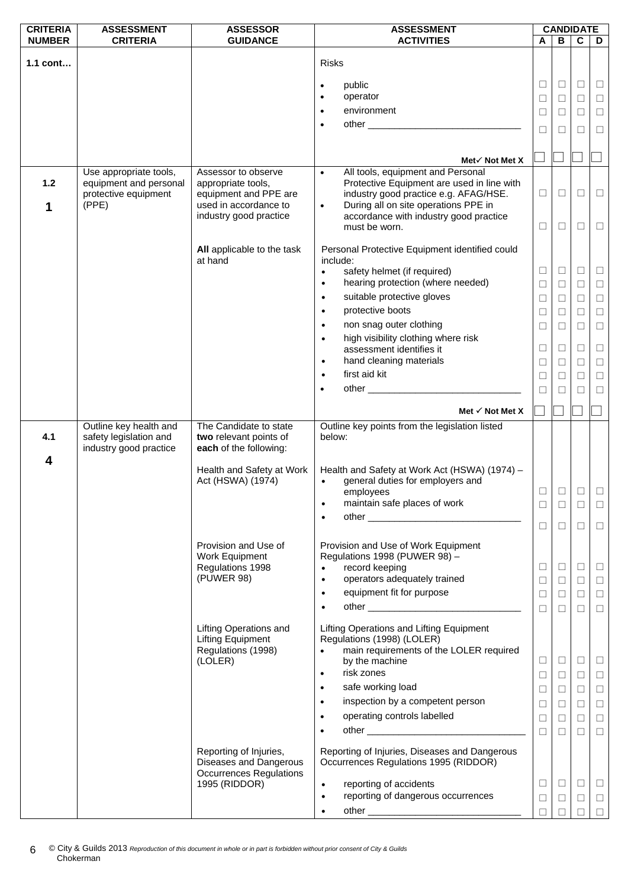| <b>CRITERIA</b> | <b>ASSESSMENT</b>                                                          | <b>ASSESSOR</b>                                                                                     | <b>ASSESSMENT</b>                                                                                                                                                                                                                                                                                          |                                                     | <b>CANDIDATE</b>                               |                                                     |                                                          |
|-----------------|----------------------------------------------------------------------------|-----------------------------------------------------------------------------------------------------|------------------------------------------------------------------------------------------------------------------------------------------------------------------------------------------------------------------------------------------------------------------------------------------------------------|-----------------------------------------------------|------------------------------------------------|-----------------------------------------------------|----------------------------------------------------------|
| <b>NUMBER</b>   | <b>CRITERIA</b>                                                            | <b>GUIDANCE</b>                                                                                     | <b>ACTIVITIES</b>                                                                                                                                                                                                                                                                                          | A                                                   | в                                              | C                                                   | D                                                        |
| 1.1 cont        |                                                                            |                                                                                                     | <b>Risks</b>                                                                                                                                                                                                                                                                                               |                                                     |                                                |                                                     |                                                          |
|                 |                                                                            |                                                                                                     |                                                                                                                                                                                                                                                                                                            |                                                     |                                                |                                                     |                                                          |
|                 |                                                                            |                                                                                                     | public<br>$\bullet$                                                                                                                                                                                                                                                                                        | $\Box$                                              | $\Box$                                         | $\Box$                                              | ⊔                                                        |
|                 |                                                                            |                                                                                                     | operator<br>$\bullet$                                                                                                                                                                                                                                                                                      | $\Box$                                              | $\Box$                                         | $\Box$                                              | $\Box$                                                   |
|                 |                                                                            |                                                                                                     | environment<br>$\bullet$                                                                                                                                                                                                                                                                                   | □                                                   | □                                              | $\Box$                                              | $\Box$                                                   |
|                 |                                                                            |                                                                                                     | $\bullet$                                                                                                                                                                                                                                                                                                  | $\Box$                                              | □                                              | □                                                   | $\Box$                                                   |
|                 |                                                                            |                                                                                                     |                                                                                                                                                                                                                                                                                                            |                                                     |                                                |                                                     |                                                          |
|                 |                                                                            |                                                                                                     |                                                                                                                                                                                                                                                                                                            |                                                     |                                                |                                                     |                                                          |
|                 | Use appropriate tools,                                                     | Assessor to observe                                                                                 | Met√ Not Met X<br>All tools, equipment and Personal<br>$\bullet$                                                                                                                                                                                                                                           |                                                     |                                                |                                                     |                                                          |
| 1.2<br>1        | equipment and personal<br>protective equipment<br>(PPE)                    | appropriate tools,<br>equipment and PPE are<br>used in accordance to<br>industry good practice      | Protective Equipment are used in line with<br>industry good practice e.g. AFAG/HSE.<br>During all on site operations PPE in<br>$\bullet$<br>accordance with industry good practice<br>must be worn.                                                                                                        | $\Box$<br>□                                         | $\Box$<br>$\Box$                               | $\Box$<br>□                                         | $\Box$<br>$\Box$                                         |
|                 |                                                                            | All applicable to the task<br>at hand                                                               | Personal Protective Equipment identified could<br>include:                                                                                                                                                                                                                                                 |                                                     |                                                |                                                     |                                                          |
|                 |                                                                            |                                                                                                     | safety helmet (if required)<br>$\bullet$                                                                                                                                                                                                                                                                   | $\Box$                                              | $\Box$                                         | $\Box$                                              | $\sqcup$                                                 |
|                 |                                                                            |                                                                                                     | hearing protection (where needed)<br>$\bullet$                                                                                                                                                                                                                                                             | $\Box$                                              | $\Box$                                         | $\Box$                                              | $\Box$                                                   |
|                 |                                                                            |                                                                                                     | suitable protective gloves<br>$\bullet$                                                                                                                                                                                                                                                                    | $\Box$                                              | □                                              | $\Box$                                              | $\Box$                                                   |
|                 |                                                                            |                                                                                                     | protective boots<br>$\bullet$                                                                                                                                                                                                                                                                              | □                                                   | □                                              | $\Box$                                              | □                                                        |
|                 |                                                                            |                                                                                                     | non snag outer clothing<br>$\bullet$                                                                                                                                                                                                                                                                       | $\Box$                                              | $\Box$                                         | $\Box$                                              | $\Box$                                                   |
|                 |                                                                            |                                                                                                     | high visibility clothing where risk<br>$\bullet$                                                                                                                                                                                                                                                           |                                                     |                                                |                                                     |                                                          |
|                 |                                                                            |                                                                                                     | assessment identifies it                                                                                                                                                                                                                                                                                   | $\Box$                                              | □                                              | $\Box$                                              | $\Box$                                                   |
|                 |                                                                            |                                                                                                     | hand cleaning materials<br>$\bullet$                                                                                                                                                                                                                                                                       | $\Box$                                              | □                                              | $\Box$                                              | $\Box$                                                   |
|                 |                                                                            |                                                                                                     | first aid kit<br>$\bullet$                                                                                                                                                                                                                                                                                 | $\Box$                                              | □                                              | $\Box$                                              | $\Box$                                                   |
|                 |                                                                            |                                                                                                     | $\bullet$                                                                                                                                                                                                                                                                                                  | $\Box$                                              |                                                | $\Box$                                              | $\Box$                                                   |
|                 |                                                                            |                                                                                                     |                                                                                                                                                                                                                                                                                                            |                                                     |                                                |                                                     |                                                          |
|                 |                                                                            |                                                                                                     | Met $\checkmark$ Not Met X                                                                                                                                                                                                                                                                                 |                                                     |                                                |                                                     |                                                          |
| 4.1<br>4        | Outline key health and<br>safety legislation and<br>industry good practice | The Candidate to state<br>two relevant points of<br>each of the following:                          | Outline key points from the legislation listed<br>below:                                                                                                                                                                                                                                                   |                                                     |                                                |                                                     |                                                          |
|                 |                                                                            | Health and Safety at Work<br>Act (HSWA) (1974)                                                      | Health and Safety at Work Act (HSWA) (1974) -<br>general duties for employers and<br>$\bullet$<br>employees<br>maintain safe places of work                                                                                                                                                                | $\Box$<br>$\Box$                                    | $\Box$                                         | □<br>□                                              | $\Box$<br>⊔                                              |
|                 |                                                                            |                                                                                                     |                                                                                                                                                                                                                                                                                                            | $\Box$                                              | $\Box$                                         | □                                                   | $\Box$                                                   |
|                 |                                                                            | Provision and Use of<br>Work Equipment<br>Regulations 1998<br>(PUWER 98)                            | Provision and Use of Work Equipment<br>Regulations 1998 (PUWER 98) -<br>record keeping<br>operators adequately trained<br>$\bullet$<br>equipment fit for purpose<br>$\bullet$<br>$\bullet$                                                                                                                 | $\Box$<br>□<br>$\Box$<br>$\Box$                     | $\Box$<br>□<br>$\Box$<br>□                     | $\Box$<br>$\Box$<br>$\Box$<br>$\Box$                | ⊔<br>$\Box$<br>$\Box$<br>$\Box$                          |
|                 |                                                                            | <b>Lifting Operations and</b><br><b>Lifting Equipment</b><br>Regulations (1998)<br>(LOLER)          | Lifting Operations and Lifting Equipment<br>Regulations (1998) (LOLER)<br>main requirements of the LOLER required<br>$\bullet$<br>by the machine<br>risk zones<br>$\bullet$<br>safe working load<br>$\bullet$<br>inspection by a competent person<br>$\bullet$<br>operating controls labelled<br>$\bullet$ | $\Box$<br>$\Box$<br>$\Box$<br>$\Box$<br>$\Box$<br>П | $\Box$<br>$\Box$<br>$\Box$<br>$\Box$<br>$\Box$ | $\Box$<br>$\Box$<br>$\Box$<br>$\Box$<br>$\Box$<br>□ | $\Box$<br>$\Box$<br>$\Box$<br>$\Box$<br>$\Box$<br>$\Box$ |
|                 |                                                                            | Reporting of Injuries,<br>Diseases and Dangerous<br><b>Occurrences Regulations</b><br>1995 (RIDDOR) | Reporting of Injuries, Diseases and Dangerous<br>Occurrences Regulations 1995 (RIDDOR)<br>reporting of accidents<br>$\bullet$<br>reporting of dangerous occurrences<br>$\bullet$<br>$\bullet$                                                                                                              | $\Box$<br>$\Box$                                    | $\Box$<br>$\Box$                               | $\Box$<br>$\Box$                                    | $\Box$<br>ш                                              |
|                 |                                                                            |                                                                                                     |                                                                                                                                                                                                                                                                                                            | П                                                   |                                                | П                                                   |                                                          |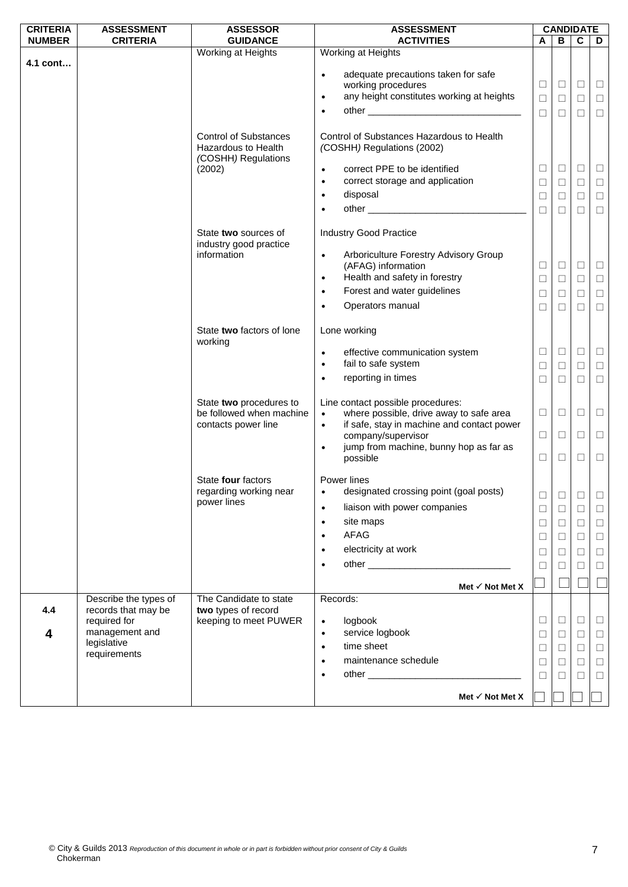| <b>CRITERIA</b> | <b>ASSESSMENT</b>     | <b>ASSESSOR</b>                                                            | <b>ASSESSMENT</b>                                                                                                                                                                                                                           |             | <b>CANDIDATE</b> |             |        |
|-----------------|-----------------------|----------------------------------------------------------------------------|---------------------------------------------------------------------------------------------------------------------------------------------------------------------------------------------------------------------------------------------|-------------|------------------|-------------|--------|
| <b>NUMBER</b>   | <b>CRITERIA</b>       | <b>GUIDANCE</b>                                                            | <b>ACTIVITIES</b>                                                                                                                                                                                                                           | A           | B                | $\mathbf c$ | D      |
|                 |                       | Working at Heights                                                         | Working at Heights                                                                                                                                                                                                                          |             |                  |             |        |
| 4.1 cont        |                       |                                                                            | adequate precautions taken for safe<br>$\bullet$                                                                                                                                                                                            |             |                  |             |        |
|                 |                       |                                                                            | working procedures                                                                                                                                                                                                                          | Ц           | $\Box$           | $\Box$      | $\Box$ |
|                 |                       |                                                                            | any height constitutes working at heights<br>$\bullet$                                                                                                                                                                                      | $\Box$      | $\Box$           | $\Box$      | $\Box$ |
|                 |                       |                                                                            | $\bullet$                                                                                                                                                                                                                                   | $\Box$      | $\Box$           | $\Box$      | $\Box$ |
|                 |                       |                                                                            |                                                                                                                                                                                                                                             |             |                  |             |        |
|                 |                       | <b>Control of Substances</b><br>Hazardous to Health<br>(COSHH) Regulations | Control of Substances Hazardous to Health<br>(COSHH) Regulations (2002)                                                                                                                                                                     |             |                  |             |        |
|                 |                       | (2002)                                                                     | correct PPE to be identified<br>$\bullet$                                                                                                                                                                                                   | $\Box$      | $\Box$           | □           | $\Box$ |
|                 |                       |                                                                            | correct storage and application<br>$\bullet$                                                                                                                                                                                                | $\Box$      | □                | □           | $\Box$ |
|                 |                       |                                                                            | disposal<br>$\bullet$                                                                                                                                                                                                                       | $\Box$      | $\Box$           | $\Box$      | $\Box$ |
|                 |                       |                                                                            | $\bullet$                                                                                                                                                                                                                                   | $\Box$      | $\Box$           | $\Box$      | $\Box$ |
|                 |                       |                                                                            |                                                                                                                                                                                                                                             |             |                  |             |        |
|                 |                       | State two sources of<br>industry good practice                             | <b>Industry Good Practice</b>                                                                                                                                                                                                               |             |                  |             |        |
|                 |                       | information                                                                | Arboriculture Forestry Advisory Group<br>$\bullet$<br>(AFAG) information                                                                                                                                                                    |             | $\Box$           | $\Box$      | $\Box$ |
|                 |                       |                                                                            | Health and safety in forestry<br>$\bullet$                                                                                                                                                                                                  | Ц<br>$\Box$ | $\Box$           | $\Box$      | $\Box$ |
|                 |                       |                                                                            | Forest and water guidelines<br>$\bullet$                                                                                                                                                                                                    |             |                  |             |        |
|                 |                       |                                                                            | Operators manual                                                                                                                                                                                                                            | $\Box$      | $\Box$           | $\Box$      | $\Box$ |
|                 |                       |                                                                            | $\bullet$                                                                                                                                                                                                                                   | $\Box$      | $\Box$           | $\Box$      | $\Box$ |
|                 |                       | State two factors of lone<br>working                                       | Lone working                                                                                                                                                                                                                                |             |                  |             |        |
|                 |                       |                                                                            | effective communication system<br>$\bullet$                                                                                                                                                                                                 | $\Box$      | $\Box$           | $\Box$      | $\Box$ |
|                 |                       |                                                                            | fail to safe system<br>$\bullet$                                                                                                                                                                                                            | □           | $\Box$           | □           | $\Box$ |
|                 |                       |                                                                            | reporting in times<br>$\bullet$                                                                                                                                                                                                             | $\Box$      | $\Box$           | $\Box$      | $\Box$ |
|                 |                       | State two procedures to<br>be followed when machine                        | Line contact possible procedures:<br>where possible, drive away to safe area<br>$\bullet$                                                                                                                                                   | □           | $\Box$           | □           | $\Box$ |
|                 |                       | contacts power line                                                        | if safe, stay in machine and contact power<br>$\bullet$                                                                                                                                                                                     |             |                  |             |        |
|                 |                       |                                                                            | company/supervisor                                                                                                                                                                                                                          | □           | $\Box$           | □           | $\Box$ |
|                 |                       |                                                                            | jump from machine, bunny hop as far as<br>$\bullet$                                                                                                                                                                                         |             |                  |             |        |
|                 |                       |                                                                            | possible                                                                                                                                                                                                                                    | □           | $\Box$           | $\Box$      | $\Box$ |
|                 |                       | State four factors<br>regarding working near                               | Power lines<br>designated crossing point (goal posts)<br>$\bullet$ . The set of $\bullet$                                                                                                                                                   | $\Box$      | $\Box$           | $\Box$      |        |
|                 |                       | power lines                                                                | liaison with power companies<br>$\bullet$                                                                                                                                                                                                   |             |                  |             | $\Box$ |
|                 |                       |                                                                            |                                                                                                                                                                                                                                             | $\Box$      | $\Box$           | $\Box$      | $\Box$ |
|                 |                       |                                                                            | site maps<br>$\bullet$                                                                                                                                                                                                                      | $\Box$      | $\Box$           | $\Box$      | $\Box$ |
|                 |                       |                                                                            | <b>AFAG</b><br>$\bullet$                                                                                                                                                                                                                    | □           | □                | $\Box$      | $\Box$ |
|                 |                       |                                                                            | electricity at work<br>$\bullet$                                                                                                                                                                                                            | ⊔           | □                | □           | $\Box$ |
|                 |                       |                                                                            | $\bullet$                                                                                                                                                                                                                                   | □           | П                | □           | $\Box$ |
|                 |                       |                                                                            | Met $\checkmark$ Not Met X                                                                                                                                                                                                                  |             |                  |             |        |
|                 | Describe the types of | The Candidate to state                                                     | Records:                                                                                                                                                                                                                                    |             |                  |             |        |
| 4.4             | records that may be   | two types of record                                                        |                                                                                                                                                                                                                                             |             |                  |             |        |
|                 | required for          | keeping to meet PUWER                                                      | logbook<br>$\bullet$                                                                                                                                                                                                                        | □           | $\Box$           | □           | $\Box$ |
| 4               | management and        |                                                                            | service logbook<br>$\bullet$                                                                                                                                                                                                                | □           | $\Box$           | □           | $\Box$ |
|                 | legislative           |                                                                            | time sheet<br>$\bullet$                                                                                                                                                                                                                     | $\Box$      | $\Box$           | $\Box$      | $\Box$ |
|                 | requirements          |                                                                            | maintenance schedule<br>$\bullet$                                                                                                                                                                                                           | $\Box$      | $\Box$           | □           | $\Box$ |
|                 |                       |                                                                            | other experience and the contract of the contract of the contract of the contract of the contract of the contract of the contract of the contract of the contract of the contract of the contract of the contract of the contr<br>$\bullet$ | ⊔           |                  | □           | $\Box$ |
|                 |                       |                                                                            |                                                                                                                                                                                                                                             |             |                  |             |        |
|                 |                       |                                                                            | Met $\checkmark$ Not Met X                                                                                                                                                                                                                  |             |                  |             |        |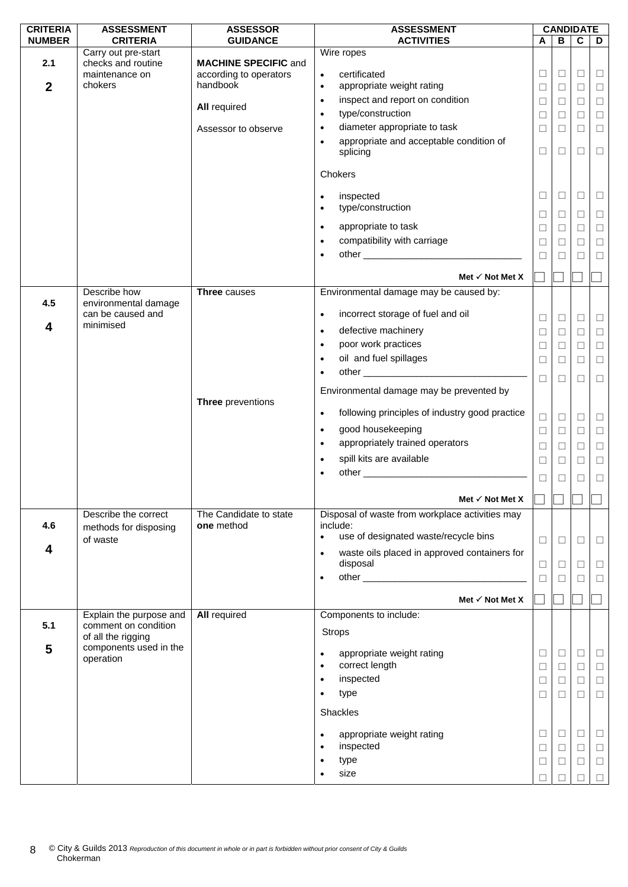| <b>CRITERIA</b>  | <b>ASSESSMENT</b>                    | <b>ASSESSOR</b>                                       | <b>ASSESSMENT</b>                                                     |        |        | <b>CANDIDATE</b> |        |
|------------------|--------------------------------------|-------------------------------------------------------|-----------------------------------------------------------------------|--------|--------|------------------|--------|
| <b>NUMBER</b>    | <b>CRITERIA</b>                      | <b>GUIDANCE</b>                                       | <b>ACTIVITIES</b>                                                     | A      | В      | $\mathbf c$      | D      |
|                  | Carry out pre-start                  |                                                       | Wire ropes                                                            |        |        |                  |        |
| 2.1              | checks and routine<br>maintenance on | <b>MACHINE SPECIFIC and</b><br>according to operators | certificated                                                          | □      | $\Box$ | $\Box$           | $\Box$ |
| $\boldsymbol{2}$ | chokers                              | handbook                                              | $\bullet$<br>appropriate weight rating                                |        |        |                  |        |
|                  |                                      |                                                       | $\bullet$                                                             | □      | $\Box$ | $\Box$           | $\Box$ |
|                  |                                      | <b>All required</b>                                   | inspect and report on condition<br>$\bullet$                          | $\Box$ | $\Box$ | $\Box$           | $\Box$ |
|                  |                                      |                                                       | type/construction<br>$\bullet$                                        | $\Box$ | $\Box$ | $\Box$           | $\Box$ |
|                  |                                      | Assessor to observe                                   | diameter appropriate to task<br>$\bullet$                             | □      | □      | $\Box$           | $\Box$ |
|                  |                                      |                                                       | appropriate and acceptable condition of<br>$\bullet$                  |        |        |                  |        |
|                  |                                      |                                                       | splicing                                                              | $\Box$ | $\Box$ | $\Box$           | $\Box$ |
|                  |                                      |                                                       |                                                                       |        |        |                  |        |
|                  |                                      |                                                       | Chokers                                                               |        |        |                  |        |
|                  |                                      |                                                       | inspected<br>$\bullet$                                                | $\Box$ | $\Box$ | □                | $\Box$ |
|                  |                                      |                                                       | type/construction<br>$\bullet$                                        |        |        |                  |        |
|                  |                                      |                                                       |                                                                       | $\Box$ | $\Box$ | $\Box$           | $\Box$ |
|                  |                                      |                                                       | appropriate to task<br>$\bullet$                                      | □      | □      | $\Box$           | $\Box$ |
|                  |                                      |                                                       | compatibility with carriage<br>$\bullet$                              | $\Box$ | ⊔      | □                | $\Box$ |
|                  |                                      |                                                       | $\bullet$                                                             | $\Box$ | □      | П                | $\Box$ |
|                  |                                      |                                                       |                                                                       |        |        |                  |        |
|                  |                                      |                                                       | Met $\checkmark$ Not Met X                                            |        |        |                  |        |
|                  | Describe how                         | Three causes                                          | Environmental damage may be caused by:                                |        |        |                  |        |
| 4.5              | environmental damage                 |                                                       |                                                                       |        |        |                  |        |
|                  | can be caused and                    |                                                       | incorrect storage of fuel and oil<br>$\bullet$                        | ⊔      | Ц      | Ц                | $\Box$ |
| 4                | minimised                            |                                                       | defective machinery<br>$\bullet$                                      | □      | $\Box$ | $\Box$           | $\Box$ |
|                  |                                      |                                                       | poor work practices<br>$\bullet$                                      | ⊔      | □      | □                | $\Box$ |
|                  |                                      |                                                       | oil and fuel spillages<br>$\bullet$                                   | $\Box$ | $\Box$ | $\Box$           | $\Box$ |
|                  |                                      |                                                       | $\bullet$                                                             |        |        |                  |        |
|                  |                                      |                                                       |                                                                       | $\Box$ | $\Box$ | □                | $\Box$ |
|                  |                                      |                                                       | Environmental damage may be prevented by                              |        |        |                  |        |
|                  |                                      | Three preventions                                     |                                                                       |        |        |                  |        |
|                  |                                      |                                                       | following principles of industry good practice<br>$\bullet$           | $\Box$ | $\Box$ | □                | $\Box$ |
|                  |                                      |                                                       | good housekeeping<br>$\bullet$                                        | $\Box$ | $\Box$ | $\Box$           | $\Box$ |
|                  |                                      |                                                       | appropriately trained operators<br>$\bullet$                          | □      | $\Box$ | $\Box$           | $\Box$ |
|                  |                                      |                                                       | spill kits are available<br>$\bullet$                                 | □      | □      | □                | $\Box$ |
|                  |                                      |                                                       | $\bullet$                                                             |        |        |                  |        |
|                  |                                      |                                                       |                                                                       | □      | □      | □                | $\Box$ |
|                  |                                      |                                                       | Met $\checkmark$ Not Met X                                            |        |        |                  |        |
|                  |                                      |                                                       |                                                                       |        |        |                  |        |
| 4.6              | Describe the correct                 | The Candidate to state<br>one method                  | Disposal of waste from workplace activities may<br>include:           |        |        |                  |        |
|                  | methods for disposing<br>of waste    |                                                       | use of designated waste/recycle bins<br>$\bullet$                     |        |        |                  |        |
| 4                |                                      |                                                       |                                                                       | $\Box$ | $\Box$ | $\Box$           | $\Box$ |
|                  |                                      |                                                       | waste oils placed in approved containers for<br>$\bullet$<br>disposal |        |        |                  |        |
|                  |                                      |                                                       |                                                                       | $\Box$ | ⊔      | $\Box$           | $\Box$ |
|                  |                                      |                                                       | $\bullet$                                                             | $\Box$ | $\Box$ | $\Box$           | $\Box$ |
|                  |                                      |                                                       | Met $\checkmark$ Not Met X                                            |        |        |                  |        |
|                  | Explain the purpose and              | <b>All required</b>                                   | Components to include:                                                |        |        |                  |        |
| 5.1              | comment on condition                 |                                                       |                                                                       |        |        |                  |        |
|                  | of all the rigging                   |                                                       | <b>Strops</b>                                                         |        |        |                  |        |
| 5                | components used in the               |                                                       |                                                                       |        |        |                  |        |
|                  | operation                            |                                                       | appropriate weight rating<br>$\bullet$<br>correct length<br>$\bullet$ | □      | □      | □                | $\Box$ |
|                  |                                      |                                                       |                                                                       | $\Box$ | $\Box$ | $\Box$           | $\Box$ |
|                  |                                      |                                                       | inspected<br>$\bullet$                                                | □      | $\Box$ | $\Box$           | $\Box$ |
|                  |                                      |                                                       | type<br>$\bullet$                                                     | □      | □      | □                | $\Box$ |
|                  |                                      |                                                       | Shackles                                                              |        |        |                  |        |
|                  |                                      |                                                       |                                                                       |        |        |                  |        |
|                  |                                      |                                                       | appropriate weight rating<br>$\bullet$                                | □      | □      | $\Box$           | ш      |
|                  |                                      |                                                       | inspected<br>$\bullet$                                                | □      | □      | $\Box$           | $\Box$ |
|                  |                                      |                                                       | type<br>$\bullet$                                                     | $\Box$ | □      | □                | $\Box$ |
|                  |                                      |                                                       | size<br>$\bullet$                                                     | П      |        | П                | $\Box$ |
|                  |                                      |                                                       |                                                                       |        |        |                  |        |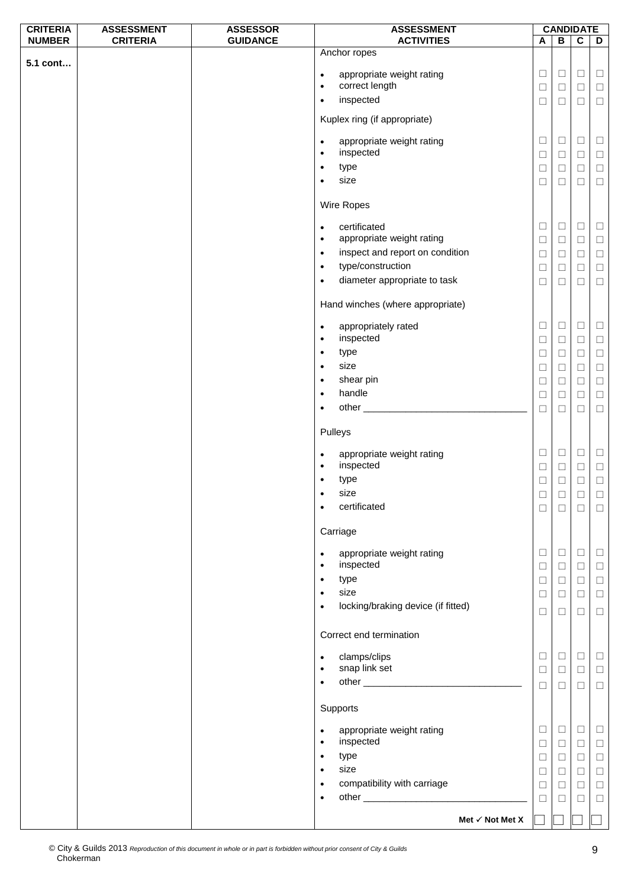| <b>CRITERIA</b> | <b>ASSESSMENT</b> | <b>ASSESSOR</b> | <b>ASSESSMENT</b>                                                |                  | <b>CANDIDATE</b> |                  |                  |
|-----------------|-------------------|-----------------|------------------------------------------------------------------|------------------|------------------|------------------|------------------|
| <b>NUMBER</b>   | <b>CRITERIA</b>   | <b>GUIDANCE</b> | <b>ACTIVITIES</b>                                                | A                | В                | $\mathbf c$      | D                |
| 5.1 cont        |                   |                 | Anchor ropes<br>appropriate weight rating<br>$\bullet$           | $\Box$           | $\Box$           | $\Box$           | $\Box$           |
|                 |                   |                 | correct length<br>$\bullet$                                      | □                | $\Box$           | $\Box$           | $\Box$           |
|                 |                   |                 | inspected<br>$\bullet$                                           | $\Box$           | $\Box$           | $\Box$           | $\Box$           |
|                 |                   |                 | Kuplex ring (if appropriate)                                     |                  |                  |                  |                  |
|                 |                   |                 | appropriate weight rating<br>$\bullet$<br>inspected<br>$\bullet$ | $\Box$<br>$\Box$ | $\Box$<br>$\Box$ | $\Box$<br>$\Box$ | $\Box$<br>$\Box$ |
|                 |                   |                 | type<br>$\bullet$                                                | $\Box$           | $\Box$           | $\Box$           | $\Box$           |
|                 |                   |                 | size<br>$\bullet$                                                | $\Box$           | □                | $\Box$           | $\Box$           |
|                 |                   |                 | Wire Ropes                                                       |                  |                  |                  |                  |
|                 |                   |                 | certificated<br>$\bullet$                                        | $\Box$           | $\Box$           | $\Box$           | $\Box$           |
|                 |                   |                 | appropriate weight rating<br>$\bullet$                           | $\Box$           | $\Box$           | $\Box$           | $\Box$           |
|                 |                   |                 | inspect and report on condition<br>$\bullet$                     | $\Box$           | $\Box$           | $\Box$           | $\Box$           |
|                 |                   |                 | type/construction<br>$\bullet$                                   | $\Box$           | $\Box$           | $\Box$           | $\Box$           |
|                 |                   |                 | diameter appropriate to task<br>$\bullet$                        | $\Box$           | $\Box$           | $\Box$           | $\Box$           |
|                 |                   |                 | Hand winches (where appropriate)                                 |                  |                  |                  |                  |
|                 |                   |                 | appropriately rated<br>$\bullet$<br>inspected<br>$\bullet$       | $\Box$<br>$\Box$ | $\Box$<br>$\Box$ | $\Box$<br>$\Box$ | $\Box$<br>$\Box$ |
|                 |                   |                 | type<br>$\bullet$                                                | $\Box$           | $\Box$           | $\Box$           | $\Box$           |
|                 |                   |                 | size<br>$\bullet$                                                | $\Box$           | $\Box$           | $\Box$           | $\Box$           |
|                 |                   |                 | shear pin<br>$\bullet$                                           | $\Box$           | Ц                | $\Box$           | $\Box$           |
|                 |                   |                 | handle<br>$\bullet$                                              | $\Box$           | $\Box$           | $\Box$           | $\Box$           |
|                 |                   |                 | $\bullet$                                                        | $\Box$           | $\Box$           | $\Box$           | $\Box$           |
|                 |                   |                 | Pulleys                                                          |                  |                  |                  |                  |
|                 |                   |                 | appropriate weight rating<br>$\bullet$                           | ⊔                | $\Box$           | $\Box$           | $\Box$           |
|                 |                   |                 | inspected<br>$\bullet$<br>type<br>٠                              | $\Box$<br>$\Box$ | $\Box$<br>$\Box$ | $\Box$<br>$\Box$ | $\Box$<br>$\Box$ |
|                 |                   |                 | size<br>$\bullet$                                                | $\Box$           | $\Box$           | $\Box$           | $\Box$           |
|                 |                   |                 | certificated<br>$\bullet$                                        | $\Box$           | $\Box$           | $\Box$           | $\Box$           |
|                 |                   |                 | Carriage                                                         |                  |                  |                  |                  |
|                 |                   |                 | appropriate weight rating<br>$\bullet$                           | $\Box$           | $\Box$           | $\Box$           | $\Box$           |
|                 |                   |                 | inspected<br>$\bullet$<br>type<br>$\bullet$                      | $\Box$<br>$\Box$ | $\Box$<br>$\Box$ | $\Box$<br>$\Box$ | $\Box$<br>$\Box$ |
|                 |                   |                 | size<br>$\bullet$                                                | $\Box$           | $\Box$           | $\Box$           | $\Box$           |
|                 |                   |                 | locking/braking device (if fitted)<br>$\bullet$                  | ⊔                | ⊔                | $\Box$           | $\Box$           |
|                 |                   |                 | Correct end termination                                          |                  |                  |                  |                  |
|                 |                   |                 | clamps/clips<br>$\bullet$                                        | ⊔                | $\Box$           | $\Box$           | $\Box$           |
|                 |                   |                 | snap link set<br>$\bullet$                                       | $\Box$           | $\Box$           | $\Box$           | $\Box$           |
|                 |                   |                 | $\bullet$                                                        | $\Box$           | $\Box$           | $\Box$           | $\Box$           |
|                 |                   |                 | Supports                                                         |                  |                  |                  |                  |
|                 |                   |                 | appropriate weight rating<br>$\bullet$<br>inspected<br>$\bullet$ | $\Box$<br>$\Box$ | $\Box$<br>$\Box$ | $\Box$<br>$\Box$ | $\Box$<br>$\Box$ |
|                 |                   |                 | type<br>$\bullet$                                                | ⊔                | $\Box$           | $\Box$           | $\Box$           |
|                 |                   |                 | size<br>$\bullet$                                                | $\Box$           | $\Box$           | $\Box$           | $\Box$           |
|                 |                   |                 | compatibility with carriage<br>$\bullet$                         | $\Box$           | ⊔                | $\Box$           | $\Box$           |
|                 |                   |                 | $\bullet$                                                        | $\Box$           | $\Box$           | $\Box$           | $\Box$           |
|                 |                   |                 | Met $\checkmark$ Not Met X                                       |                  |                  |                  |                  |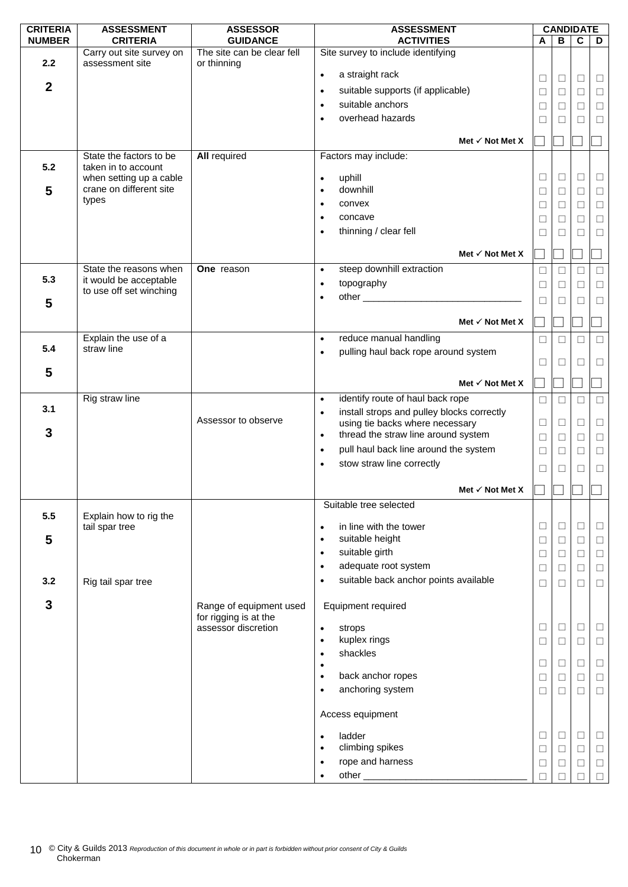| <b>CRITERIA</b><br><b>ASSESSMENT</b><br><b>ASSESSOR</b><br><b>ASSESSMENT</b>                                                          |        |        | <b>CANDIDATE</b> |        |
|---------------------------------------------------------------------------------------------------------------------------------------|--------|--------|------------------|--------|
| <b>NUMBER</b><br><b>CRITERIA</b><br><b>GUIDANCE</b><br><b>ACTIVITIES</b>                                                              | A      | B      | $\mathbf c$      | D      |
| The site can be clear fell<br>Site survey to include identifying<br>Carry out site survey on<br>2.2<br>assessment site<br>or thinning |        |        |                  |        |
| a straight rack<br>$\bullet$                                                                                                          | Ш      | ⊔      | Ш                | $\Box$ |
| $\boldsymbol{2}$<br>suitable supports (if applicable)<br>$\bullet$                                                                    | $\Box$ | $\Box$ | $\Box$           | $\Box$ |
| suitable anchors<br>$\bullet$                                                                                                         | □      | $\Box$ | $\Box$           | $\Box$ |
| overhead hazards<br>$\bullet$                                                                                                         | □      | □      | □                | $\Box$ |
|                                                                                                                                       |        |        |                  |        |
| Met $\checkmark$ Not Met X                                                                                                            |        |        |                  |        |
| State the factors to be<br><b>All required</b><br>Factors may include:                                                                |        |        |                  |        |
| 5.2<br>taken in to account                                                                                                            |        |        |                  |        |
| when setting up a cable<br>uphill<br>$\bullet$<br>crane on different site<br>downhill                                                 | $\Box$ | $\Box$ | □                | $\Box$ |
| 5<br>$\bullet$<br>types                                                                                                               | □      | $\Box$ | $\Box$           | $\Box$ |
| convex<br>$\bullet$                                                                                                                   | □      | □      | $\Box$           | $\Box$ |
| concave<br>$\bullet$                                                                                                                  | $\Box$ | $\Box$ | $\Box$           | $\Box$ |
| thinning / clear fell<br>$\bullet$                                                                                                    | П      | П      | П                | $\Box$ |
| Met $\checkmark$ Not Met X                                                                                                            |        |        |                  |        |
| One reason<br>steep downhill extraction<br>State the reasons when<br>$\bullet$                                                        | □      | П      | П                | $\Box$ |
| 5.3<br>it would be acceptable<br>topography<br>$\bullet$                                                                              |        | $\Box$ | $\Box$           |        |
| to use off set winching<br>$\bullet$                                                                                                  | $\Box$ |        |                  | $\Box$ |
| 5                                                                                                                                     | □      | □      | П                | $\Box$ |
| Met $\checkmark$ Not Met X                                                                                                            |        |        |                  |        |
| Explain the use of a<br>reduce manual handling<br>$\bullet$                                                                           |        |        |                  |        |
| 5.4<br>straw line                                                                                                                     | $\Box$ | $\Box$ | □                | $\Box$ |
| pulling haul back rope around system<br>$\bullet$                                                                                     | □      | □      | □                | $\Box$ |
| 5                                                                                                                                     |        |        |                  |        |
| Met $\checkmark$ Not Met X                                                                                                            |        |        |                  |        |
| Rig straw line<br>identify route of haul back rope<br>$\bullet$                                                                       | $\Box$ | П      | П                | $\Box$ |
| 3.1<br>install strops and pulley blocks correctly<br>$\bullet$                                                                        |        |        |                  |        |
| Assessor to observe<br>using tie backs where necessary<br>3                                                                           | □      | □      | □                | $\Box$ |
| thread the straw line around system<br>$\bullet$                                                                                      | $\Box$ | $\Box$ | $\Box$           | $\Box$ |
| pull haul back line around the system<br>$\bullet$                                                                                    | $\Box$ | $\Box$ | $\Box$           | $\Box$ |
| stow straw line correctly<br>$\bullet$                                                                                                | □      | □      | □                | $\Box$ |
|                                                                                                                                       |        |        |                  |        |
| Met $\checkmark$ Not Met X                                                                                                            |        |        |                  |        |
| Suitable tree selected                                                                                                                |        |        |                  |        |
| 5.5<br>Explain how to rig the<br>in line with the tower<br>tail spar tree<br>$\bullet$                                                | $\Box$ | $\Box$ | $\Box$           | $\Box$ |
| suitable height<br>5<br>$\bullet$                                                                                                     | □      | $\Box$ | $\Box$           | $\Box$ |
| suitable girth<br>$\bullet$                                                                                                           | $\Box$ | $\Box$ | $\Box$           | $\Box$ |
| adequate root system<br>$\bullet$                                                                                                     |        |        |                  |        |
| suitable back anchor points available<br>$\bullet$                                                                                    | Ш      | $\Box$ | $\Box$           | $\Box$ |
| 3.2<br>Rig tail spar tree                                                                                                             | П      | $\Box$ | П                | $\Box$ |
| 3<br>Equipment required<br>Range of equipment used                                                                                    |        |        |                  |        |
| for rigging is at the                                                                                                                 |        |        |                  |        |
| assessor discretion<br>strops<br>$\bullet$                                                                                            | $\Box$ | $\Box$ | $\Box$           | $\Box$ |
| kuplex rings<br>$\bullet$                                                                                                             | □      | $\Box$ | $\Box$           | $\Box$ |
| shackles<br>$\bullet$                                                                                                                 |        |        |                  |        |
| $\bullet$                                                                                                                             | $\Box$ | $\Box$ | $\Box$           | $\Box$ |
| back anchor ropes<br>$\bullet$                                                                                                        | $\Box$ | $\Box$ | $\Box$           | $\Box$ |
| anchoring system<br>$\bullet$                                                                                                         | $\Box$ | $\Box$ | □                | $\Box$ |
| Access equipment                                                                                                                      |        |        |                  |        |
| ladder<br>$\bullet$                                                                                                                   | Ш      | Ц      | Ц                | $\Box$ |
| climbing spikes<br>$\bullet$                                                                                                          | $\Box$ | $\Box$ | $\Box$           | $\Box$ |
|                                                                                                                                       |        |        |                  | $\Box$ |
| rope and harness<br>$\bullet$                                                                                                         | $\Box$ | □      | □                |        |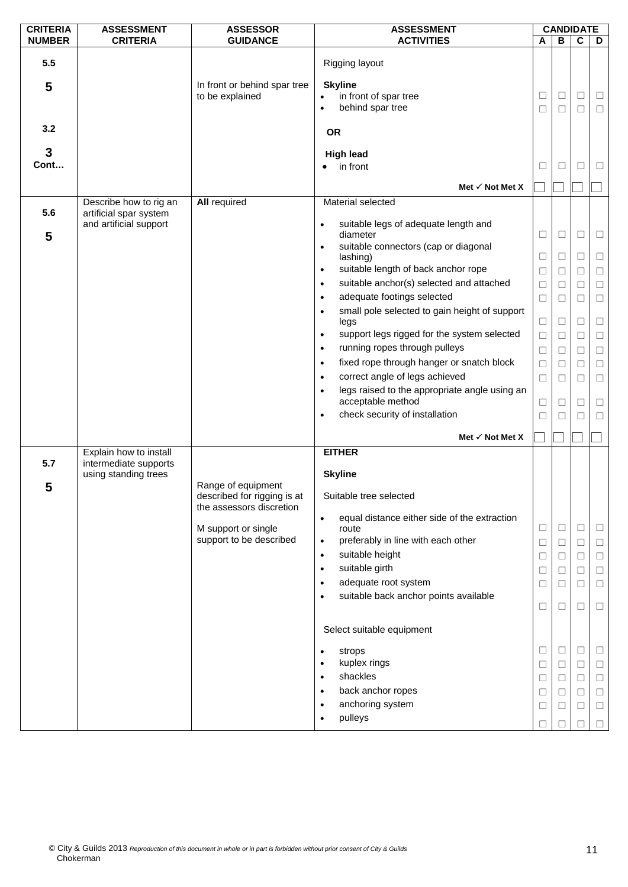| <b>CRITERIA</b> | <b>ASSESSMENT</b>                                | <b>ASSESSOR</b>                                                            | <b>ASSESSMENT</b>                                                                                                                                                                                                                                                                                                                       | <b>CANDIDATE</b>                          |                                                          |                                           |                                                          |
|-----------------|--------------------------------------------------|----------------------------------------------------------------------------|-----------------------------------------------------------------------------------------------------------------------------------------------------------------------------------------------------------------------------------------------------------------------------------------------------------------------------------------|-------------------------------------------|----------------------------------------------------------|-------------------------------------------|----------------------------------------------------------|
| <b>NUMBER</b>   | <b>CRITERIA</b>                                  | <b>GUIDANCE</b>                                                            | <b>ACTIVITIES</b>                                                                                                                                                                                                                                                                                                                       | A                                         | $\, {\bf B}$                                             | $\mathbf c$                               | D                                                        |
| 5.5<br>5        |                                                  | In front or behind spar tree<br>to be explained                            | Rigging layout<br><b>Skyline</b><br>in front of spar tree<br>behind spar tree<br>$\bullet$                                                                                                                                                                                                                                              | $\Box$<br>$\Box$                          | $\Box$<br>$\Box$                                         | $\Box$<br>□                               | $\Box$<br>$\Box$                                         |
| 3.2             |                                                  |                                                                            | <b>OR</b>                                                                                                                                                                                                                                                                                                                               |                                           |                                                          |                                           |                                                          |
| 3<br>Cont       |                                                  |                                                                            | <b>High lead</b><br>in front                                                                                                                                                                                                                                                                                                            | □                                         | $\Box$                                                   | П                                         | □                                                        |
|                 |                                                  |                                                                            | Met $\checkmark$ Not Met X                                                                                                                                                                                                                                                                                                              |                                           |                                                          |                                           |                                                          |
|                 | Describe how to rig an                           | <b>All required</b>                                                        | Material selected                                                                                                                                                                                                                                                                                                                       |                                           |                                                          |                                           |                                                          |
| 5.6<br>5        | artificial spar system<br>and artificial support |                                                                            | suitable legs of adequate length and<br>$\bullet$<br>diameter<br>suitable connectors (cap or diagonal<br>$\bullet$<br>lashing)<br>suitable length of back anchor rope<br>$\bullet$<br>suitable anchor(s) selected and attached<br>$\bullet$<br>adequate footings selected<br>$\bullet$<br>small pole selected to gain height of support | $\Box$<br>$\Box$<br>□<br>$\Box$<br>$\Box$ | $\Box$<br>$\Box$<br>$\Box$<br>$\Box$<br>$\Box$           | $\Box$<br>□<br>П<br>$\Box$<br>П           | $\Box$<br>$\Box$<br>$\Box$<br>$\Box$<br>$\Box$           |
|                 |                                                  |                                                                            | $\bullet$<br>legs                                                                                                                                                                                                                                                                                                                       | $\Box$                                    | $\Box$                                                   | □                                         | $\Box$                                                   |
|                 |                                                  |                                                                            | support legs rigged for the system selected<br>$\bullet$                                                                                                                                                                                                                                                                                | $\Box$                                    | $\Box$                                                   | $\Box$                                    | $\Box$                                                   |
|                 |                                                  |                                                                            | running ropes through pulleys<br>$\bullet$                                                                                                                                                                                                                                                                                              | □                                         | $\Box$                                                   |                                           | $\Box$                                                   |
|                 |                                                  |                                                                            | fixed rope through hanger or snatch block<br>$\bullet$                                                                                                                                                                                                                                                                                  | $\Box$                                    | $\Box$                                                   | П                                         | $\Box$                                                   |
|                 |                                                  |                                                                            | correct angle of legs achieved<br>$\bullet$<br>legs raised to the appropriate angle using an                                                                                                                                                                                                                                            | $\Box$                                    | $\Box$                                                   | □                                         | $\Box$                                                   |
|                 |                                                  |                                                                            | $\bullet$<br>acceptable method                                                                                                                                                                                                                                                                                                          | $\Box$                                    | $\Box$                                                   | ⊔                                         | $\Box$                                                   |
|                 |                                                  |                                                                            | check security of installation<br>$\bullet$                                                                                                                                                                                                                                                                                             | □                                         | □                                                        |                                           | $\Box$                                                   |
|                 |                                                  |                                                                            | Met $\checkmark$ Not Met X                                                                                                                                                                                                                                                                                                              |                                           |                                                          |                                           |                                                          |
|                 | Explain how to install                           |                                                                            | <b>EITHER</b>                                                                                                                                                                                                                                                                                                                           |                                           |                                                          |                                           |                                                          |
| 5.7<br>5        | intermediate supports<br>using standing trees    | Range of equipment<br>described for rigging is at                          | <b>Skyline</b><br>Suitable tree selected                                                                                                                                                                                                                                                                                                |                                           |                                                          |                                           |                                                          |
|                 |                                                  | the assessors discretion<br>M support or single<br>support to be described | equal distance either side of the extraction<br>$\bullet$<br>route<br>preferably in line with each other<br>$\bullet$<br>suitable height<br>$\bullet$<br>suitable girth<br>$\bullet$<br>adequate root system<br>$\bullet$<br>suitable back anchor points available<br>$\bullet$<br>Select suitable equipment                            | $\Box$<br>$\Box$<br>□<br>□<br>□<br>□      | $\Box$<br>$\Box$<br>$\Box$<br>$\Box$<br>$\Box$<br>$\Box$ | $\Box$<br>□<br>$\Box$<br>$\Box$<br>□<br>□ | $\Box$<br>$\Box$<br>$\Box$<br>$\Box$<br>$\Box$<br>$\Box$ |
|                 |                                                  |                                                                            | strops<br>$\bullet$<br>kuplex rings<br>$\bullet$<br>shackles<br>$\bullet$<br>back anchor ropes<br>$\bullet$<br>anchoring system<br>$\bullet$<br>pulleys<br>$\bullet$                                                                                                                                                                    | ⊔<br>$\Box$<br>Ш<br>Ц<br>$\Box$<br>П      | $\Box$<br>$\Box$<br>□<br>⊔<br>□<br>П                     | ⊔<br>$\Box$<br>□<br>Ш<br>□                | ⊔<br>$\Box$<br>$\Box$<br>$\Box$<br>$\Box$<br>$\Box$      |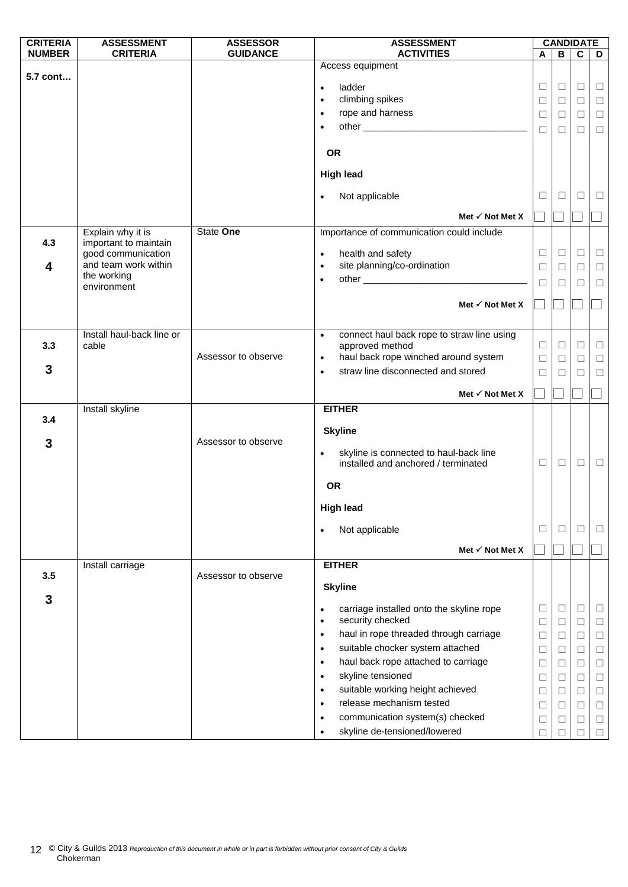| <b>CRITERIA</b> | <b>ASSESSMENT</b>                          | <b>ASSESSOR</b>     | <b>ASSESSMENT</b>                                                              |             | <b>CANDIDATE</b> |              |             |
|-----------------|--------------------------------------------|---------------------|--------------------------------------------------------------------------------|-------------|------------------|--------------|-------------|
| <b>NUMBER</b>   | <b>CRITERIA</b>                            | <b>GUIDANCE</b>     | <b>ACTIVITIES</b>                                                              | A           | B                | $\mathbf c$  | D           |
| 5.7 cont        |                                            |                     | Access equipment                                                               |             |                  |              |             |
|                 |                                            |                     | ladder<br>$\bullet$                                                            | $\Box$      | $\Box$           | ⊔            | Ц           |
|                 |                                            |                     | climbing spikes<br>$\bullet$                                                   | $\Box$      | $\Box$           | $\Box$       | $\Box$      |
|                 |                                            |                     | rope and harness<br>$\bullet$                                                  | $\Box$      | □                | □            | $\Box$      |
|                 |                                            |                     | $\bullet$                                                                      | $\Box$      | $\Box$           | П            | $\Box$      |
|                 |                                            |                     |                                                                                |             |                  |              |             |
|                 |                                            |                     | <b>OR</b>                                                                      |             |                  |              |             |
|                 |                                            |                     | <b>High lead</b>                                                               |             |                  |              |             |
|                 |                                            |                     | Not applicable                                                                 | $\Box$      | $\Box$           | □            | □           |
|                 |                                            |                     | Met $\checkmark$ Not Met X                                                     |             |                  |              |             |
|                 |                                            |                     |                                                                                |             |                  |              |             |
| 4.3             | Explain why it is<br>important to maintain | State One           | Importance of communication could include                                      |             |                  |              |             |
|                 | good communication                         |                     | health and safety<br>$\bullet$                                                 | □           | $\Box$           | □            | $\Box$      |
| 4               | and team work within                       |                     | site planning/co-ordination<br>$\bullet$                                       | □           | $\Box$           | ⊔            | □           |
|                 | the working                                |                     | $\bullet$                                                                      | $\Box$      | □                | □            | $\Box$      |
|                 | environment                                |                     |                                                                                |             |                  |              |             |
|                 |                                            |                     | Met $\checkmark$ Not Met X                                                     |             |                  |              |             |
|                 |                                            |                     |                                                                                |             |                  |              |             |
|                 | Install haul-back line or                  |                     | connect haul back rope to straw line using<br>$\bullet$                        |             |                  |              |             |
| 3.3             | cable                                      |                     | approved method                                                                | □           | $\Box$           | П            | $\Box$      |
|                 |                                            | Assessor to observe | haul back rope winched around system<br>$\bullet$                              | $\Box$      | $\Box$           | $\Box$       | $\Box$      |
| 3               |                                            |                     | straw line disconnected and stored<br>$\bullet$                                | $\Box$      | П                | П            | $\Box$      |
|                 |                                            |                     | Met $\checkmark$ Not Met X                                                     |             |                  |              |             |
|                 | Install skyline                            |                     | <b>EITHER</b>                                                                  |             |                  |              |             |
| 3.4             |                                            |                     |                                                                                |             |                  |              |             |
|                 |                                            | Assessor to observe | <b>Skyline</b>                                                                 |             |                  |              |             |
| 3               |                                            |                     | skyline is connected to haul-back line<br>$\bullet$                            |             |                  |              |             |
|                 |                                            |                     | installed and anchored / terminated                                            | □           | $\Box$           | $\Box$       | $\Box$      |
|                 |                                            |                     | <b>OR</b>                                                                      |             |                  |              |             |
|                 |                                            |                     |                                                                                |             |                  |              |             |
|                 |                                            |                     | <b>High lead</b>                                                               |             |                  |              |             |
|                 |                                            |                     | Not applicable<br>$\bullet$                                                    | □           | $\Box$           | $\mathbf{L}$ | ⊔           |
|                 |                                            |                     | Met $\checkmark$ Not Met X                                                     |             |                  |              |             |
| 3.5             | Install carriage                           | Assessor to observe | <b>EITHER</b>                                                                  |             |                  |              |             |
|                 |                                            |                     | <b>Skyline</b>                                                                 |             |                  |              |             |
| 3               |                                            |                     |                                                                                |             |                  |              |             |
|                 |                                            |                     | carriage installed onto the skyline rope<br>٠<br>security checked<br>$\bullet$ | $\Box$<br>□ | $\Box$<br>$\Box$ | □<br>□       | ⊔<br>$\Box$ |
|                 |                                            |                     | haul in rope threaded through carriage<br>$\bullet$                            | $\Box$      | $\Box$           | П            | $\Box$      |
|                 |                                            |                     | suitable chocker system attached<br>$\bullet$                                  | □           | $\Box$           | □            | $\Box$      |
|                 |                                            |                     | haul back rope attached to carriage<br>$\bullet$                               | □           | □                | □            | $\Box$      |
|                 |                                            |                     | skyline tensioned<br>$\bullet$                                                 | □           | □                | □            | $\Box$      |
|                 |                                            |                     | suitable working height achieved<br>$\bullet$                                  | □           | $\Box$           | $\Box$       | $\Box$      |
|                 |                                            |                     | release mechanism tested<br>$\bullet$                                          | $\Box$      | $\Box$           | □            | $\Box$      |
|                 |                                            |                     | communication system(s) checked<br>$\bullet$                                   |             |                  | □            | $\Box$      |
|                 |                                            |                     | skyline de-tensioned/lowered<br>$\bullet$                                      | □<br>$\Box$ | ⊔                |              | $\Box$      |
|                 |                                            |                     |                                                                                |             |                  |              |             |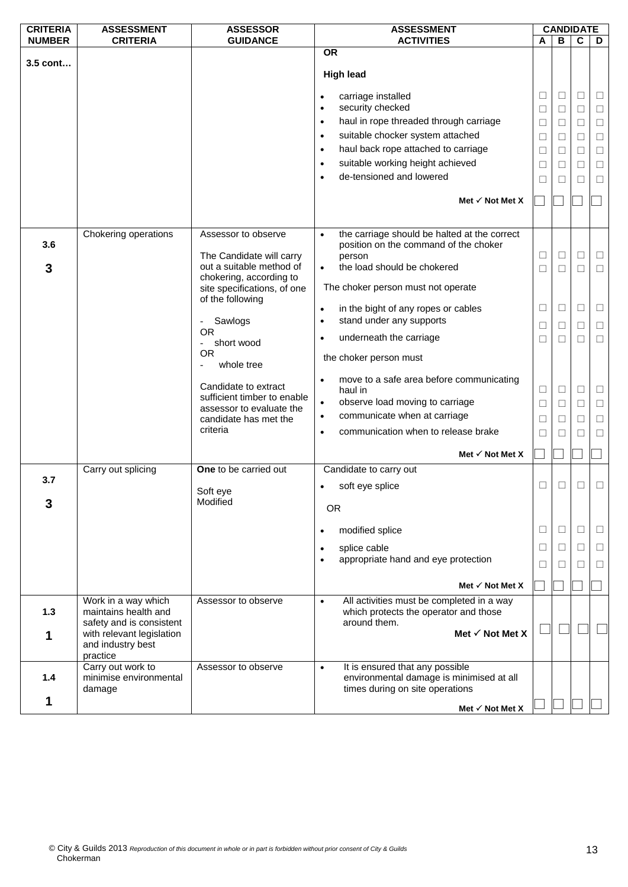| <b>CRITERIA</b> | <b>ASSESSMENT</b>                                | <b>ASSESSOR</b>                                     | <b>ASSESSMENT</b>                                                                                  |        | <b>CANDIDATE</b> |        |        |
|-----------------|--------------------------------------------------|-----------------------------------------------------|----------------------------------------------------------------------------------------------------|--------|------------------|--------|--------|
| <b>NUMBER</b>   | <b>CRITERIA</b>                                  | <b>GUIDANCE</b>                                     | <b>ACTIVITIES</b>                                                                                  | A      | B                | C      | D      |
|                 |                                                  |                                                     | <b>OR</b>                                                                                          |        |                  |        |        |
| $3.5$ cont      |                                                  |                                                     | <b>High lead</b>                                                                                   |        |                  |        |        |
|                 |                                                  |                                                     | carriage installed<br>$\bullet$                                                                    | $\Box$ | ⊔                | $\Box$ | Ц      |
|                 |                                                  |                                                     | security checked<br>$\bullet$                                                                      | $\Box$ | $\Box$           | $\Box$ | $\Box$ |
|                 |                                                  |                                                     | haul in rope threaded through carriage<br>$\bullet$                                                | $\Box$ | $\Box$           | $\Box$ | $\Box$ |
|                 |                                                  |                                                     | suitable chocker system attached<br>$\bullet$                                                      | □      | □                | □      | $\Box$ |
|                 |                                                  |                                                     | haul back rope attached to carriage<br>$\bullet$                                                   | $\Box$ | □                | □      | $\Box$ |
|                 |                                                  |                                                     | suitable working height achieved<br>$\bullet$                                                      | $\Box$ | $\Box$           | $\Box$ | $\Box$ |
|                 |                                                  |                                                     | de-tensioned and lowered<br>$\bullet$                                                              | □      | □                | □      | $\Box$ |
|                 |                                                  |                                                     | Met $\checkmark$ Not Met X                                                                         |        |                  |        |        |
|                 |                                                  |                                                     |                                                                                                    |        |                  |        |        |
| 3.6             | Chokering operations                             | Assessor to observe                                 | the carriage should be halted at the correct<br>$\bullet$<br>position on the command of the choker |        |                  |        |        |
|                 |                                                  | The Candidate will carry                            | person                                                                                             | $\Box$ | $\Box$           | $\Box$ | $\Box$ |
| 3               |                                                  | out a suitable method of<br>chokering, according to | the load should be chokered<br>$\bullet$                                                           | П      | П                | $\Box$ | □      |
|                 |                                                  | site specifications, of one<br>of the following     | The choker person must not operate                                                                 |        |                  |        |        |
|                 |                                                  |                                                     | in the bight of any ropes or cables<br>$\bullet$                                                   | $\Box$ | □                | $\Box$ | □      |
|                 |                                                  | - Sawlogs                                           | stand under any supports<br>$\bullet$                                                              | □      | $\Box$           | □      | □      |
|                 |                                                  | <b>OR</b>                                           | underneath the carriage<br>$\bullet$                                                               | □      | П                | □      | $\Box$ |
|                 |                                                  | short wood<br>$\overline{\phantom{0}}$<br><b>OR</b> |                                                                                                    |        |                  |        |        |
|                 |                                                  | whole tree                                          | the choker person must                                                                             |        |                  |        |        |
|                 |                                                  |                                                     | move to a safe area before communicating<br>$\bullet$                                              |        |                  |        |        |
|                 |                                                  | Candidate to extract<br>sufficient timber to enable | haul in                                                                                            | $\Box$ | $\Box$           | □      | Ц      |
|                 |                                                  | assessor to evaluate the                            | observe load moving to carriage<br>$\bullet$                                                       | $\Box$ | □                | $\Box$ | $\Box$ |
|                 |                                                  | candidate has met the                               | communicate when at carriage<br>$\bullet$                                                          | $\Box$ | □                | $\Box$ | $\Box$ |
|                 |                                                  | criteria                                            | communication when to release brake<br>$\bullet$                                                   | П      | $\mathbf{1}$     | П      | □      |
|                 |                                                  |                                                     | Met $\checkmark$ Not Met X                                                                         |        |                  |        |        |
|                 | Carry out splicing                               | One to be carried out                               | Candidate to carry out                                                                             |        |                  |        |        |
| 3.7             |                                                  | Soft eye                                            | soft eye splice<br>$\bullet$                                                                       | $\Box$ |                  | □      | $\Box$ |
| 3               |                                                  | Modified                                            |                                                                                                    |        |                  |        |        |
|                 |                                                  |                                                     | <b>OR</b>                                                                                          |        |                  |        |        |
|                 |                                                  |                                                     | modified splice<br>$\bullet$                                                                       | $\Box$ | □                | $\Box$ | ⊔      |
|                 |                                                  |                                                     | splice cable<br>$\bullet$                                                                          | $\Box$ | ⊔                | $\Box$ | □      |
|                 |                                                  |                                                     | appropriate hand and eye protection<br>$\bullet$                                                   | □      | $\perp$          | □      | □      |
|                 |                                                  |                                                     | Met $\checkmark$ Not Met X                                                                         |        |                  |        |        |
|                 | Work in a way which                              | Assessor to observe                                 | All activities must be completed in a way<br>$\bullet$                                             |        |                  |        |        |
| 1.3             | maintains health and<br>safety and is consistent |                                                     | which protects the operator and those<br>around them.                                              |        |                  |        |        |
| 1               | with relevant legislation                        |                                                     | Met $\checkmark$ Not Met X                                                                         |        |                  |        |        |
|                 | and industry best<br>practice                    |                                                     |                                                                                                    |        |                  |        |        |
|                 | Carry out work to                                | Assessor to observe                                 | It is ensured that any possible<br>$\bullet$                                                       |        |                  |        |        |
| 1.4             | minimise environmental                           |                                                     | environmental damage is minimised at all                                                           |        |                  |        |        |
|                 | damage                                           |                                                     | times during on site operations                                                                    |        |                  |        |        |
| 1               |                                                  |                                                     | Met $\checkmark$ Not Met X                                                                         |        |                  |        |        |